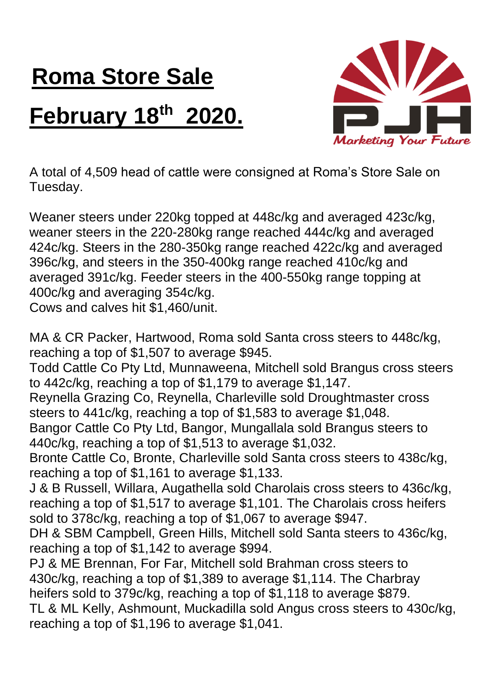## **Roma Store Sale February 18th 2020.**



A total of 4,509 head of cattle were consigned at Roma's Store Sale on Tuesday.

Weaner steers under 220kg topped at 448c/kg and averaged 423c/kg, weaner steers in the 220-280kg range reached 444c/kg and averaged 424c/kg. Steers in the 280-350kg range reached 422c/kg and averaged 396c/kg, and steers in the 350-400kg range reached 410c/kg and averaged 391c/kg. Feeder steers in the 400-550kg range topping at 400c/kg and averaging 354c/kg.

Cows and calves hit \$1,460/unit.

MA & CR Packer, Hartwood, Roma sold Santa cross steers to 448c/kg, reaching a top of \$1,507 to average \$945.

Todd Cattle Co Pty Ltd, Munnaweena, Mitchell sold Brangus cross steers to 442c/kg, reaching a top of \$1,179 to average \$1,147.

Reynella Grazing Co, Reynella, Charleville sold Droughtmaster cross steers to 441c/kg, reaching a top of \$1,583 to average \$1,048.

Bangor Cattle Co Pty Ltd, Bangor, Mungallala sold Brangus steers to 440c/kg, reaching a top of \$1,513 to average \$1,032.

Bronte Cattle Co, Bronte, Charleville sold Santa cross steers to 438c/kg, reaching a top of \$1,161 to average \$1,133.

J & B Russell, Willara, Augathella sold Charolais cross steers to 436c/kg, reaching a top of \$1,517 to average \$1,101. The Charolais cross heifers sold to 378c/kg, reaching a top of \$1,067 to average \$947.

DH & SBM Campbell, Green Hills, Mitchell sold Santa steers to 436c/kg, reaching a top of \$1,142 to average \$994.

PJ & ME Brennan, For Far, Mitchell sold Brahman cross steers to 430c/kg, reaching a top of \$1,389 to average \$1,114. The Charbray heifers sold to 379c/kg, reaching a top of \$1,118 to average \$879. TL & ML Kelly, Ashmount, Muckadilla sold Angus cross steers to 430c/kg, reaching a top of \$1,196 to average \$1,041.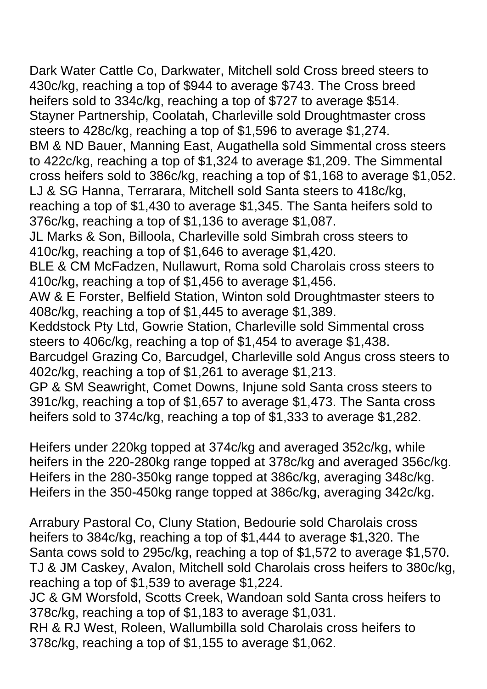Dark Water Cattle Co, Darkwater, Mitchell sold Cross breed steers to 430c/kg, reaching a top of \$944 to average \$743. The Cross breed heifers sold to 334c/kg, reaching a top of \$727 to average \$514. Stayner Partnership, Coolatah, Charleville sold Droughtmaster cross steers to 428c/kg, reaching a top of \$1,596 to average \$1,274. BM & ND Bauer, Manning East, Augathella sold Simmental cross steers to 422c/kg, reaching a top of \$1,324 to average \$1,209. The Simmental cross heifers sold to 386c/kg, reaching a top of \$1,168 to average \$1,052. LJ & SG Hanna, Terrarara, Mitchell sold Santa steers to 418c/kg, reaching a top of \$1,430 to average \$1,345. The Santa heifers sold to 376c/kg, reaching a top of \$1,136 to average \$1,087. JL Marks & Son, Billoola, Charleville sold Simbrah cross steers to 410c/kg, reaching a top of \$1,646 to average \$1,420. BLE & CM McFadzen, Nullawurt, Roma sold Charolais cross steers to 410c/kg, reaching a top of \$1,456 to average \$1,456. AW & E Forster, Belfield Station, Winton sold Droughtmaster steers to 408c/kg, reaching a top of \$1,445 to average \$1,389. Keddstock Pty Ltd, Gowrie Station, Charleville sold Simmental cross steers to 406c/kg, reaching a top of \$1,454 to average \$1,438. Barcudgel Grazing Co, Barcudgel, Charleville sold Angus cross steers to 402c/kg, reaching a top of \$1,261 to average \$1,213. GP & SM Seawright, Comet Downs, Injune sold Santa cross steers to 391c/kg, reaching a top of \$1,657 to average \$1,473. The Santa cross heifers sold to 374c/kg, reaching a top of \$1,333 to average \$1,282.

Heifers under 220kg topped at 374c/kg and averaged 352c/kg, while heifers in the 220-280kg range topped at 378c/kg and averaged 356c/kg. Heifers in the 280-350kg range topped at 386c/kg, averaging 348c/kg. Heifers in the 350-450kg range topped at 386c/kg, averaging 342c/kg.

Arrabury Pastoral Co, Cluny Station, Bedourie sold Charolais cross heifers to 384c/kg, reaching a top of \$1,444 to average \$1,320. The Santa cows sold to 295c/kg, reaching a top of \$1,572 to average \$1,570. TJ & JM Caskey, Avalon, Mitchell sold Charolais cross heifers to 380c/kg, reaching a top of \$1,539 to average \$1,224.

JC & GM Worsfold, Scotts Creek, Wandoan sold Santa cross heifers to 378c/kg, reaching a top of \$1,183 to average \$1,031.

RH & RJ West, Roleen, Wallumbilla sold Charolais cross heifers to 378c/kg, reaching a top of \$1,155 to average \$1,062.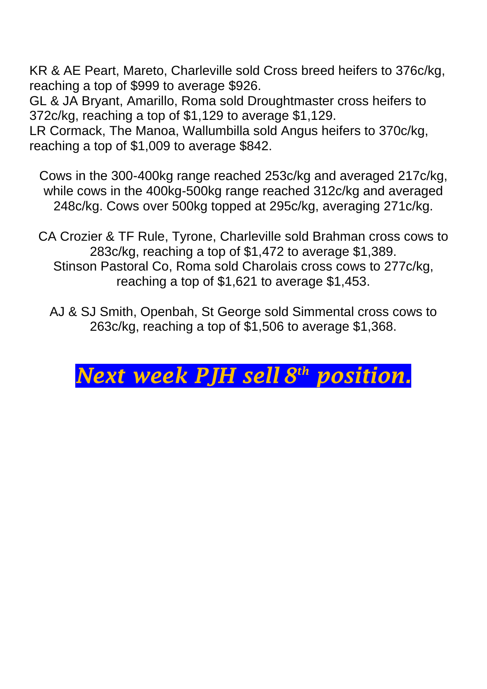KR & AE Peart, Mareto, Charleville sold Cross breed heifers to 376c/kg, reaching a top of \$999 to average \$926.

GL & JA Bryant, Amarillo, Roma sold Droughtmaster cross heifers to 372c/kg, reaching a top of \$1,129 to average \$1,129.

LR Cormack, The Manoa, Wallumbilla sold Angus heifers to 370c/kg, reaching a top of \$1,009 to average \$842.

Cows in the 300-400kg range reached 253c/kg and averaged 217c/kg, while cows in the 400kg-500kg range reached 312c/kg and averaged 248c/kg. Cows over 500kg topped at 295c/kg, averaging 271c/kg.

CA Crozier & TF Rule, Tyrone, Charleville sold Brahman cross cows to 283c/kg, reaching a top of \$1,472 to average \$1,389. Stinson Pastoral Co, Roma sold Charolais cross cows to 277c/kg, reaching a top of \$1,621 to average \$1,453.

AJ & SJ Smith, Openbah, St George sold Simmental cross cows to 263c/kg, reaching a top of \$1,506 to average \$1,368.